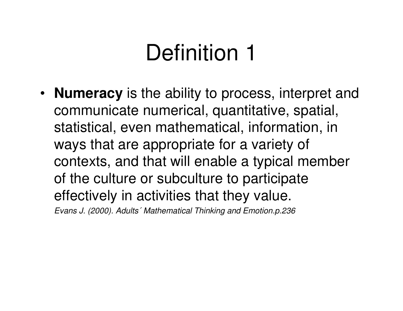• **Numeracy** is the ability to process, interpret and communicate numerical, quantitative, spatial, statistical, even mathematical, information, in ways that are appropriate for a variety of contexts, and that will enable a typical member of the culture or subculture to participate effectively in activities that they value.Evans J. (2000). Adults´ Mathematical Thinking and Emotion.p.236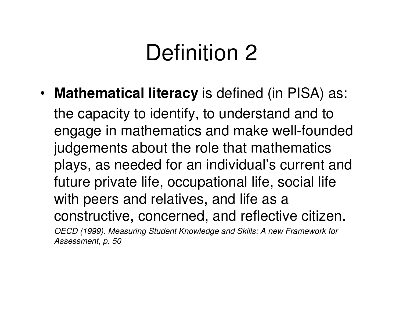• **Mathematical literacy** is defined (in PISA) as:

the capacity to identify, to understand and to engage in mathematics and make well-founded judgements about the role that mathematics plays, as needed for an individual's current and future private life, occupational life, social lifewith peers and relatives, and life as a constructive, concerned, and reflective citizen.OECD (1999). Measuring Student Knowledge and Skills: A new Framework forAssessment, p. 50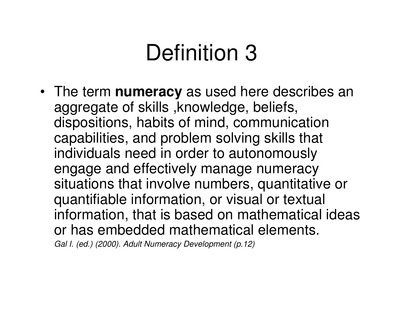• The term **numeracy** as used here describes an aggregate of skills ,knowledge, beliefs, dispositions, habits of mind, communication capabilities, and problem solving skills that individuals need in order to autonomously engage and effectively manage numeracy situations that involve numbers, quantitative or quantifiable information, or visual or textual information, that is based on mathematical ideas or has embedded mathematical elements.Gal I. (ed.) (2000). Adult Numeracy Development (p.12)